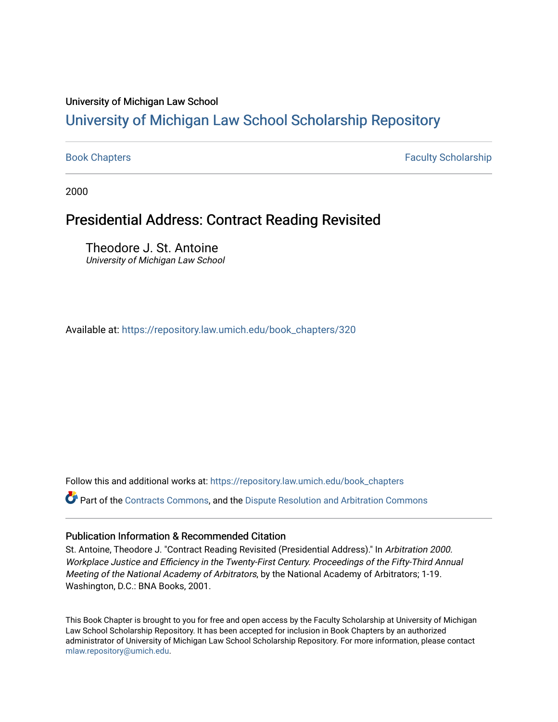# University of Michigan Law School

# [University of Michigan Law School Scholarship Repository](https://repository.law.umich.edu/)

[Book Chapters](https://repository.law.umich.edu/book_chapters) Faculty Scholarship

2000

# Presidential Address: Contract Reading Revisited

Theodore J. St. Antoine University of Michigan Law School

Available at: [https://repository.law.umich.edu/book\\_chapters/320](https://repository.law.umich.edu/book_chapters/320) 

Follow this and additional works at: [https://repository.law.umich.edu/book\\_chapters](https://repository.law.umich.edu/book_chapters?utm_source=repository.law.umich.edu%2Fbook_chapters%2F320&utm_medium=PDF&utm_campaign=PDFCoverPages)

Part of the [Contracts Commons](http://network.bepress.com/hgg/discipline/591?utm_source=repository.law.umich.edu%2Fbook_chapters%2F320&utm_medium=PDF&utm_campaign=PDFCoverPages), and the Dispute Resolution and Arbitration Commons

# Publication Information & Recommended Citation

St. Antoine, Theodore J. "Contract Reading Revisited (Presidential Address)." In Arbitration 2000. Workplace Justice and Efficiency in the Twenty-First Century. Proceedings of the Fifty-Third Annual Meeting of the National Academy of Arbitrators, by the National Academy of Arbitrators; 1-19. Washington, D.C.: BNA Books, 2001.

This Book Chapter is brought to you for free and open access by the Faculty Scholarship at University of Michigan Law School Scholarship Repository. It has been accepted for inclusion in Book Chapters by an authorized administrator of University of Michigan Law School Scholarship Repository. For more information, please contact [mlaw.repository@umich.edu.](mailto:mlaw.repository@umich.edu)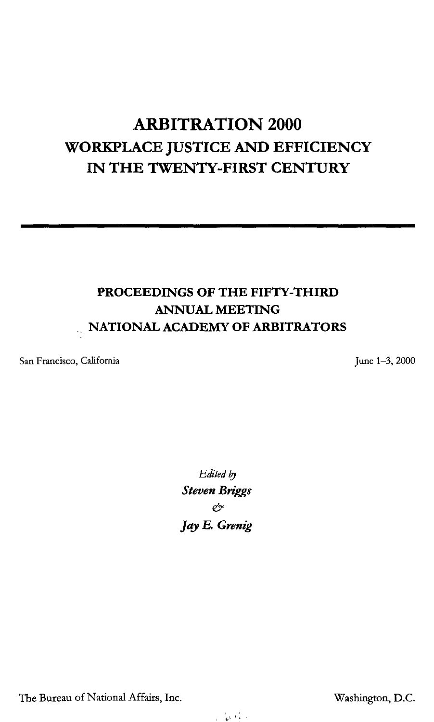# **ARBITRATION 2000 WORKPLACE JUSTICE AND EFFICIENCY IN THE TWENTY-FIRST CENTURY**

# **PROCEEDINGS OF THE FIFTY-THIRD ANNUAL MEETING**  .. **NATIONAL ACADEMY OF ARBITRATORS**

San Francisco, California

June 1-3, 2000

Edited by *Steven Briggs &*  **Jay** *E. Grenig* 

The Bureau of National Affairs, Inc. The Bureau of National Affairs, Inc.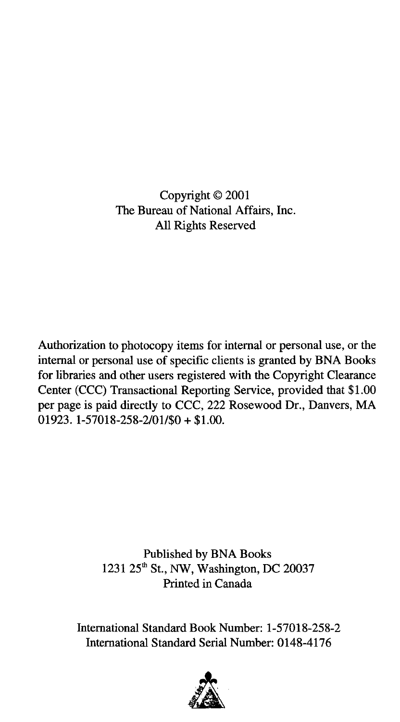Copyright© 2001 The Bureau of National Affairs, Inc. All Rights Reserved

Authorization to photocopy items for internal or personal use, or the internal or personal use of specific clients is granted by BNA Books for libraries and other users registered with the Copyright Clearance Center (CCC) Transactional Reporting Service, provided that \$1.00 per page is paid directly to CCC, 222 Rosewood Dr., Danvers, MA  $01923. 1 - 57018 - 258 - 2/01/50 + 1.00$ .

> Published by BNA Books 1231 25<sup>th</sup> St., NW, Washington, DC 20037 Printed in Canada

International Standard Book Number: 1-57018-258-2 International Standard Serial Number: 0148-4176

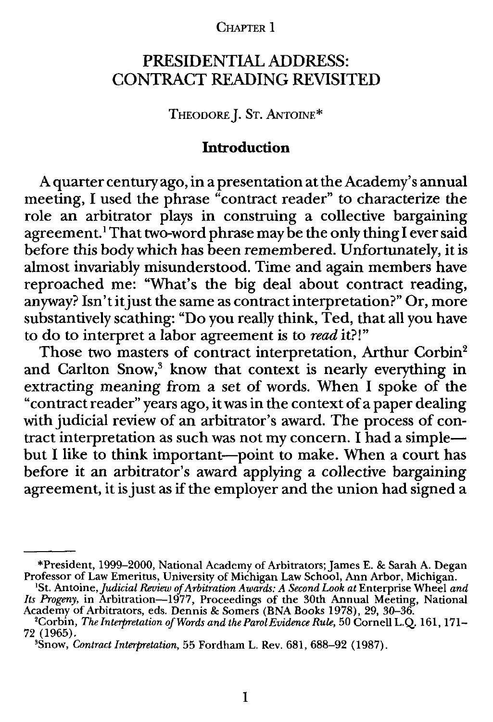#### CHAPTER 1

# PRESIDENTIAL ADDRESS: CONTRACT READING REVISITED

THEODORE J. ST. ANTOINE\*

# **Introduction**

A quarter century ago, **in** a presentation at the Academy's annual meeting, I used the phrase "contract reader" to characterize the role an arbitrator plays in construing a collective bargaining agreement.<sup>1</sup> That two-word phrase may be the only thing I ever said before this body which has been remembered. Unfortunately, it is almost invariably misunderstood. Time and again members have reproached me: "What's the big deal about contract reading, anyway? Isn'titjust the same as contract interpretation?" Or, more substantively scathing: "Do you really think, Ted, that all you have to do to interpret a labor agreement is to *read* it?!"

Those two masters of contract interpretation, Arthur Corbin<sup>2</sup> and Carlton Snow,<sup>3</sup> know that context is nearly everything in extracting meaning from a set of words. When I spoke of the "contract reader" years ago, it was in the context of a paper dealing with judicial review of an arbitrator's award. The process of contract interpretation as such was not my concern. I had a simplebut I like to think important-point to make. When a court has before it an arbitrator's award applying a collective bargaining agreement, it is just as if the employer and the union had signed a

<sup>\*</sup>President, 1999–2000, National Academy of Arbitrators; James E. & Sarah A. Degan<br>Professor of Law Emeritus, University of Michigan Law School, Ann Arbor, Michigan.<br><sup>1</sup>St. Antoine, *Judicial Review of Arbitration Awards: A* 

*Its Progeny,* in Arbitration—1977, Proceedings of the 30th Annual Meeting, National (<br>Academy of Arbitrators, eds. Dennis & Somers (BNA Books 1978), 29, 30–36.<br><sup>2</sup>Corbin, *The Intermetation of Words and the Books Twidmes* 

<sup>&</sup>lt;sup>2</sup>Corbin, *The Interpretation of Words and the Parol Evidence Rule*, 50 Cornell L.Q. 161, 171– 72 (1965).

<sup>&#</sup>x27;Snow, *Contract Interpretation,* 55 Fordham L. Rev. 681, 688-92 (1987).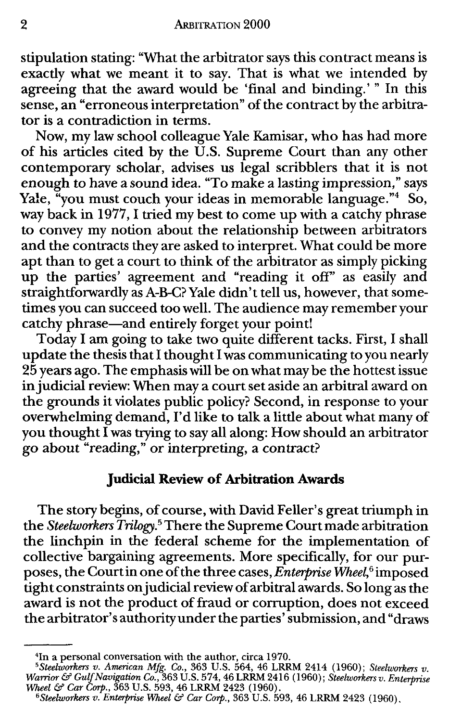stipulation stating: "What the arbitrator says this contract means is exactly what we meant it to say. That is what we intended by agreeing that the award would be 'final and binding.' " In this sense, an "erroneous interpretation" of the contract by the arbitrator is a contradiction in terms.

Now, my law school colleague Yale Kamisar, who has had more of his articles cited by the U.S. Supreme Court than any other contemporary scholar, advises us legal scribblers that it is not enough to have a sound idea. "To make a lasting impression," says Yale, "you must couch your ideas in memorable language." $4S$ o, way back in 1977, I tried my best to come up with a catchy phrase to convey my notion about the relationship between arbitrators and the contracts they are asked to interpret. What could be more apt than to get a court to think of the arbitrator as simply picking up the parties' agreement and "reading it off' as easily and straightforwardly as A-B-C?Yale didn't tell us, however, that sometimes you can succeed too well. The audience may remember your catchy phrase—and entirely forget your point!

Today I am going to take two quite different tacks. First, I shall update the thesis that I thought I was communicating to you nearly 25 years ago. The emphasis will be on what may be the hottest issue in judicial review: When may a court set aside an arbitral award on the grounds it violates public policy? Second, in response to your overwhelming demand, I'd like to talk a little about what many of you thought I was trying to say all along: How should an arbitrator go about "reading," or interpreting, a contract?

## **Judicial Review of Arbitration Awards**

The story begins, of course, with David Feller's great triumph in the *Steelworkers Trilogy.* <sup>5</sup>There the Supreme Court made arbitration the linchpin in the federal scheme for the implementation of collective bargaining agreements. More specifically, for our purposes, the Court in one of the three cases, *Enterprise Wheel,* 6 imposed tight constraints on judicial review of arbitral awards. So long as the award is not the product of fraud or corruption, does not exceed the arbitrator's authority under the parties' submission, and "draws

<sup>&</sup>lt;sup>4</sup>In a personal conversation with the author, circa 1970.<br><sup>5</sup> Steelworkers v. American Mfg. Co., 363 U.S. 564, 46 LRRM 2414 (1960); Steelworkers v. Warrior & Gulf Navigation Co., 363 U.S. 574, 46 LRRM 2416 (1960); Steelw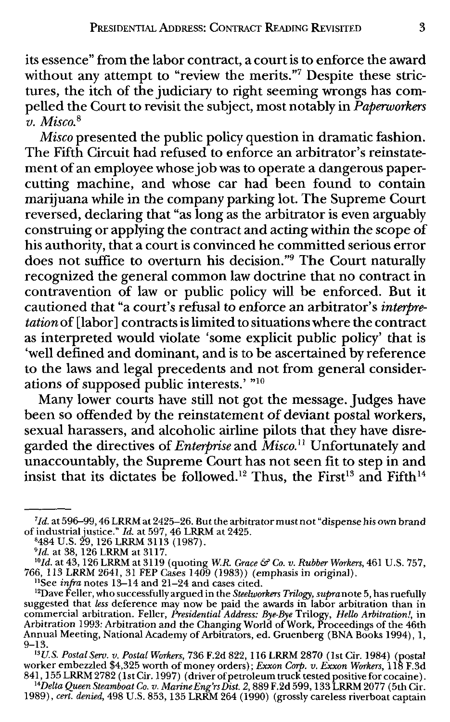its essence" from the labor contract, a court is to enforce the award without any attempt to "review the merits."7 Despite these strictures, the itch of the judiciary to right seeming wrongs has compelled the Court to revisit the subject, most notably in *Paperworkers v. Misco.* <sup>8</sup>

*Misco* presented the public policy question in dramatic fashion. The Fifth Circuit had refused to enforce an arbitrator's reinstatement of an employee whose job was to operate a dangerous papercutting machine, and whose car had been found to contain marijuana while in the company parking lot. The Supreme Court reversed, declaring that "as long as the arbitrator is even arguably construing or applying the contract and acting within the scope of his authority, that a court is convinced he committed serious error does not suffice to overturn his decision."9 The Court naturally recognized the general common law doctrine that no contract in contravention of law or public policy will be enforced. But it cautioned that "a court's refusal to enforce an arbitrator's *interpretation* of [labor] contracts is limited to situations where the contract as interpreted would violate 'some explicit public policy' that is 'well defined and dominant, and is to be ascertained by reference to the laws and legal precedents and not from general considerations of supposed public interests.' "<sup>10</sup>

Many lower courts have still not got the message. Judges have been so offended by the reinstatement of deviant postal workers, sexual harassers, and alcoholic airline pilots that they have disregarded the directives of *Enterprise* and *Misco.*<sup>11</sup> Unfortunately and unaccountably, the Supreme Court has not seen fit to step in and insist that its dictates be followed.<sup>12</sup> Thus, the First<sup>13</sup> and Fifth<sup>14</sup>

<sup>7</sup>*Id.* at 596-99, 46 LRRM at 2425-26. But the arbitrator must not "dispense his own brand of industrial justice." *Id.* at 597, 46 LRRM at 2425. <sup>8</sup>

<sup>484</sup> U.S. 29, 126 LRRM 3113 (1987). <sup>9</sup>*/d.* at 38, 126 LRRM at 3117.

<sup>&</sup>lt;sup>10</sup>Id. at 43, 126 LRRM at 3119 (quoting *W.R. Grace & Co. v. Rubber Workers*, 461 U.S. 757, 766, 113 LRRM 2641, 31 FEP Cases 1409 (1983)) (emphasis in original).

<sup>&</sup>lt;sup>12</sup>Dave Feller, who successfully argued in the Steelworkers Trilogy, supranote 5, has ruefully suggested that *less* deference may now be paid the awards in labor arbitration than in commercial arbitration. Feller, *Presidential Address: Bye-Bye* Trilogy, *Hello Arbitration!,* in Arbitration 1993: Arbitration and the Changing World of Work, Proceedings of the 46th Annual Meeting, National Academy of Arbitrators, ed. Gruenberg (BNA Books 1994), 1,  $9 - 13.$ 

*<sup>13</sup>US. Postal Serv. v. Postal Workers,* 736 F.2d 822, 116 **LRRM** 2870 (1st Cir. 1984) (postal worker embezzled \$4,325 worth of money orders); *Exxon Corp. v. Exxon Workers,* 118 F.3d

<sup>841, 155</sup> LRRM 2782 (1st Cir. 1997) ( driver of petroleum truck tested positive for cocaine). *14Delta Queen Steamboat Co. v. Marine Eng'rs Dist. 2,* 889 **F** .2d 599, 133 LRRM 2077 ( 5th Cir. 1989), *cert. denied,* 498 U.S. 853, 135 LRRM 264 (1990) (grossly careless riverboat captain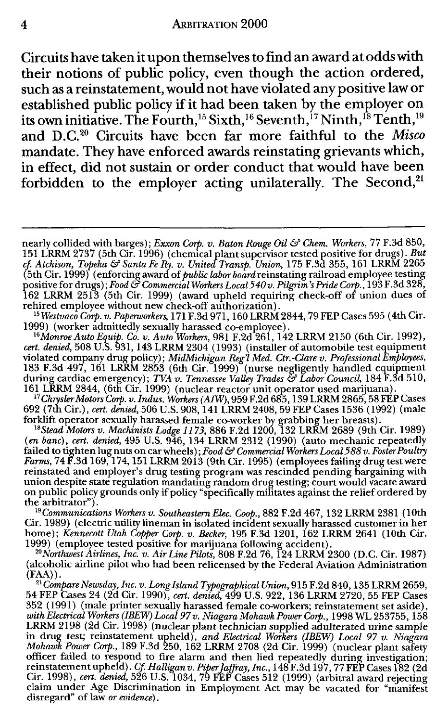Circuits have taken it upon themselves to find an award at odds with their notions of public policy, even though the action ordered, such as a reinstatement, would not have violated any positive law or established public policy if it had been taken by the employer on its own initiative. The Fourth, <sup>15</sup> Sixth, <sup>16</sup> Seventh, <sup>17</sup> Ninth, <sup>18</sup> Tenth, <sup>19</sup> and D.C.2 ° Circuits have been far more faithful to the *Misco*  mandate. They have enforced awards reinstating grievants which, in effect, did not sustain or order conduct that would have been forbidden to the employer acting unilaterally. The Second,<sup>21</sup>

rehired employee without new check-off authorization). *15Westvaco Corp. v. Paperworkers,* 171 F.3d 971, 160 LRRM 2844, 79 FEP Cases 595 ( 4th Cir.

1999) (worker admittedly sexually harassed co-employee). *16MonroeAutoEquip. Co. v. Auto Workers,* 981 F.2d 261,142 LRRM 2150 (6th Cir. 1992), *cert. denied,* 508 U.S. 931, 143 LRRM 2304 (1993) (installer of automobile test equipment violated company drug policy); *MidMichigan Reg'l Med. Ctr.-Clare v. Professional Employees,*<br>183 F.3d 497, 161 LRRM 2853 (6th Cir. 1999) (nurse negligently handled equipment during cardiac emergency); *TVA v. Tennessee Valley Trades* & *Labor Council,* 184 F.3d 510,

161 LRRM 2844, (6th Cir. 1999) (nuclear reactor unit operator used marijuana).<br><sup>17</sup>*Chrysler Motors Corp. v. Indus. Workers (AIW)*, 959 F.2d 685, 139 LRRM 2865, 58 FEP Cases 692 (7th Cir.), *cert. denied,* 506 U.S. 908, 141 LRRM 2408, 59 FEP Cases 1536 (1992) (male forklift operator sexually harassed female co-worker by grabbing her breasts). <sup>18</sup>*Stead Motors v. Machinists Lodge* 1173, 886 F.2d 1200, 132 LRRM 2689 (9th Cir. 1989)

(en *bane), cert. denied,* 495 U.S. 946, 134 LRRM 2312 (1990) (auto mechanic repeatedly failed to tighten lug nuts on car wheels); *Food & Commercial Workers Local 588 v. Foster Poultr*y<br>*Farms,* 74 F.3d 169, 174, 151 LRRM 2013 (9th Cir. 1995) (employees failing drug test were reinstated and employer's drug testing program was rescinded pending bargaining with union despite state regulation mandating random drug testing; court would vacate award on public policy grounds only if policy "specifically militates against the relief ordered by the arbitrator").

*19Communications Workers v. SoutheasternElec. Coop.,* 882 F.2d 467, 132 LRRM 2381 (10th Cir. 1989) ( electric utility lineman in isolated incident sexually harassed customer in her home); *Kennecott Utah Copper Corp. v. Becker,* 195 F.3d 1201, 162 **LRRM** 2641 (10th Cir. 1999) (employee tested positive for marijuana following accident). *20Northwest Airlines, Inc. v. Air Line Pilots,* 808 F.2d 76, 124 LRRM 2300 (D.C. Cir. 1987)

(alcoholic airline pilot who had been relicensed by the Federal Aviation Administration (FAA)).

<sup>21</sup> Compare Newsday, Inc. v. Long Island Typographical Union, 915 F.2d 840, 135 LRRM 2659, 54 FEP Cases 24 (2d Cir. 1990), *cert. denied,* 499 U.S. 922, 136 LRRM 2720, 55 FEP Cases 352 (1991) (male printer sexually harassed female co-workers; reinstatement set aside), *with Electrical Workers (IBEW) Local 97 v. Niagara Mohawk Power Corp.,* 1998 WL 253755, 158 LRRM 2198 (2d Cir. 1998) (nuclear plant technician supplied adulterated urine sample<br>in drug test; reinstatement upheld), *and Electrical Workers (IBEW) Local 97 v. Niagara*<br>*Mohawk Power Corp.*, 189 F.3d 250, 162 LRRM 270 officer failed to respond to fire alarm and then lied repeatedly during investigation;<br>reinstatement upheld). Cf. Halligan v. Piper *[affray, Inc.*, 148 F.3d 197, 77 FEP Cases 182 (2d<br>Cir. 1998), *cert. denied*, 526 U.S. 1 disregard" of law *or evidence).* 

nearly collided with barges); *Exxon Corp. v. Baton Rouge Oil & Chem. Workers*, 77 F.3d 850, 151 LRRM 2737 (5th Cir. 1996) (chemical plant supervisor tested positive for drugs). *But*  cf. Atchison, *Topeka & Santa Fe R*y. v. United Transp. Union, 175 F.3d 355, 161 LRRM 2265<br>(5th Cir. 1999) (enforcing award of *public labor board* reinstating railroad employee testing positive for drugs); *Food & Commercial Workers Local 540 v. Pilgrim's Pride Corp.*, 193 F.3d 328, 162 LRRM 2513 (5th Cir. 1999) (award upheld requiring check-off of union dues of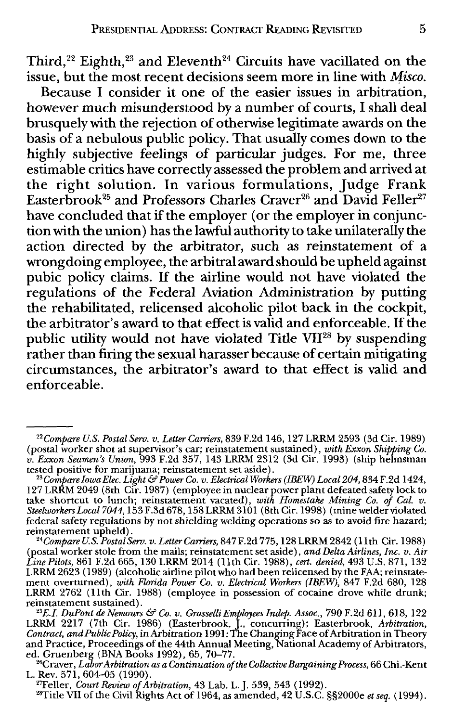Third,<sup>22</sup> Eighth,<sup>23</sup> and Eleventh<sup>24</sup> Circuits have vacillated on the issue, but the most recent decisions seem more in line with *Misco.* 

Because I consider it one of the easier issues in arbitration, however much misunderstood by a number of courts, I shall deal brusquely with the rejection of otherwise legitimate awards on the basis of a nebulous public policy. That usually comes down to the highly subjective feelings of particular judges. For me, three estimable critics have correctly assessed the problem and arrived at the right solution. In various formulations, Judge Frank Easterbrook $^{25}$  and Professors Charles Craver $^{26}$  and David Feller $^{27}$ have concluded that if the employer (or the employer in conjunction with the union) has the lawful authority to take unilaterally the action directed by the arbitrator, such as reinstatement of a wrongdoing employee, the arbitral award should be upheld against pubic policy claims. If the airline would not have violated the regulations of the Federal Aviation Administration by putting the rehabilitated, relicensed alcoholic pilot back in the cockpit, the arbitrator's award to that effect is valid and enforceable. If the public utility would not have violated Title VII28 by suspending rather than firing the sexual harasser because of certain mitigating circumstances, the arbitrator's award to that effect is valid and enforceable.

<sup>22</sup>*Compare U.S. Postal Sero. v. Letter Carriers,* 839 F.2d 146, 127 LRRM 2593 (3d Cir. 1989) (postal worker shot at supervisor's car; reinstatement sustained), *with Exxon Shipping Co. v. Exxon Seamen's Union,* 993 F.2d 357, 143 LRRM 2312 (3d Cir. 1993) (ship helmsman

tested positive for marijuana; reinstatement set aside).<br><sup>23</sup>Compare Iowa Elec. Light & Power Co. v. Electrical Workers (IBEW) Local 204, 834 F.2d 1424,<br>127 LRRM 2049 (8th Cir. 1987) (employee in nuclear power plant defeat take shortcut to lunch; reinstatement vacated), *with Homestake Mining Co. of Cal. v.*<br>*Steelworkers Local* 7044, 153 F.3d 678, 158 LRRM 3101 (8th Cir. 1998) (mine welder violated federal safety regulations by not shielding welding operations so as to avoid fire hazard;

<sup>&</sup>lt;sup>24</sup>Compare U.S. Postal Serv. v. Letter Carriers, 847 F.2d 775, 128 LRRM 2842 (11th Cir. 1988) (postal worker stole from the mails; reinstatement set aside), *and Delta Airlines, Inc. v. Air Line Pilots,* 861 F.2d 665, 130 LRRM 2014 (11th Cir. 1988), *cert. denied,* 493 U.S. 871, 132 LRRM 2623 ( 1989) (alcoholic airline pilot who had been relicensed by the FAA; reinstatement overturned), *with Florida Power Co. v. Ekctrical Workers (!BEW),* 847 F.2d 680, 128 LRRM 2762 (11th Cir. 1988) (employee in possession of cocaine drove while drunk; reinstatement sustained). *25E.l. DuPont de Nemours* & *Co. v. GrasselliEmployees Indep. Assoc.,* 790 F.2d 611,618, 122

LRRM 2217 (7th Cir. 1986) (Easterbrook, J., concurring); Easterbrook, *Arbitration,*<br>*Contract, and Public Policy*, in Arbitration 1991: The Changing Face of Arbitration in Theory<br>and Practice, Proceedings of the 44th Annu ed. Gruenberg (BNA Books 1992), 65, 70–77.<br><sup>26</sup>Craver, *Labor Arbitration as a Continuation of the Collective Bargaining Process*, 66 Chi.-Kent

L. Rev. 571, 604-05 (1990).

<sup>2</sup> 7Feller, *Court Review of Arbitration,* 43 Lab. L.J. 539, 543 (1992). 28Title VII of the Civil Rights Act of 1964, as amended, 42 U.S.C. §§2000e *et seq.* (1994).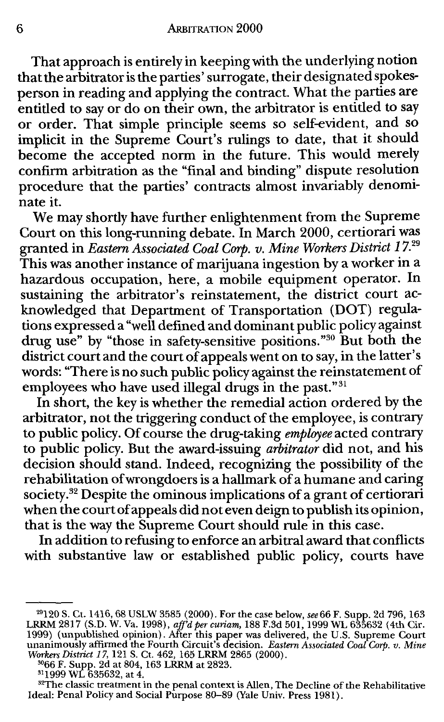That approach is entirely in keeping with the underlying notion that the arbitrator is the parties' surrogate, their designated spokesperson in reading and applying the contract. What *the* parties are entitled to say or do on their own, the arbitrator is entitled to say or order. That simple principle seems so self-evident, and so implicit in the Supreme Court's rulings to date, that it should become the accepted norm in *the* future. This would merely confirm arbitration as the "final and binding" dispute resolution procedure that *the* parties' contracts almost invariably denominate it.

We may shortly have further enlightenment from *the* Supreme Court on this long-running debate. In March 2000, certiorari was granted in *Eastern Associated Coal Corp. v. Mine Workers District 17.<sup>29</sup>* This was another instance of marijuana ingestion by a worker in a hazardous occupation, here, a mobile equipment operator. In sustaining the arbitrator's reinstatement, the district court acknowledged that Department of Transportation (DOT) regulations expressed a "well defined and dominant public policy against drug use" by "those in safety-sensitive positions."<sup>30</sup> But both the district court and the court of appeals went on to say, in the latter's words: "There is no such public policy against the reinstatement of employees who have used illegal drugs in the past." $31$ 

In short, the key is whether the remedial action ordered by the arbitrator, not the triggering conduct of the employee, is contrary to public policy. Of course the drug-taking *employee* acted contrary to public policy. But the award-issuing *arbitrator* did not, and his decision should stand. Indeed, recognizing the possibility of the rehabilitation of wrongdoers is a hallmark of a humane and caring society.<sup>32</sup> Despite the ominous implications of a grant of certiorari when the court of appeals did not even deign to publish its opinion, that is the way the Supreme Court should rule in this case.

In addition to refusing to enforce an arbitral award that conflicts with substantive law or established public policy, courts have

<sup>&</sup>lt;sup>29</sup>120 S. Ct. 1416, 68 USLW 3585 (2000). For the case below, see 66 F. Supp. 2d 796, 163<br>LRRM 2817 (S.D. W. Va. 1998), *aff'd per curiam*, 188 F.3d 501, 1999 WL 635632 (4th Cir.<br>1999) (unpublished opinion). After this pa

<sup>&</sup>lt;sup>32</sup>The classic treatment in the penal context is Allen, The Decline of the Rehabilitative Ideal: Penal Policy and Social Purpose 80-89 (Yale Univ. Press 1981).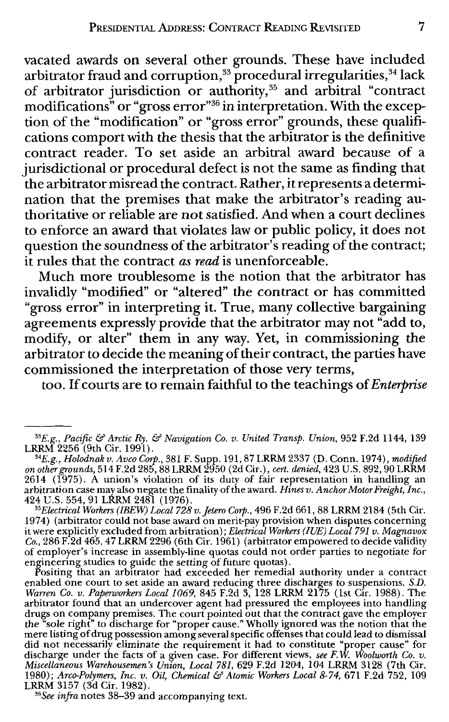vacated awards on several other grounds. These have included arbitrator fraud and corruption, $\mathrm{^{33}}$  procedural irregularities, $\mathrm{^{34}}$  lack of arbitrator jurisdiction or authority,<sup>35</sup> and arbitral "contract modifications" or "gross error"36 in interpretation. With the exception of the "modification" or "gross error" grounds, these qualifications comport with the thesis that the arbitrator is the definitive contract reader. To set aside an arbitral award because of a jurisdictional or procedural defect is not the same as finding that the arbitrator misread the contract. Rather, it represents a determination that the premises that make the arbitrator's reading authoritative or reliable are not satisfied. And when a court declines to enforce an award that violates law or public policy, it does not question the soundness of the arbitrator's reading of the contract; it rules that the contract *as read* is unenforceable.

Much more troublesome is the notion that the arbitrator has invalidly "modified" or "altered" the contract or has committed "gross error" in interpreting it. True, many collective bargaining agreements expressly provide that the arbitrator may not "add to, modify, or alter" them in any way. Yet, in commissioning the arbitrator to decide the meaning of their contract, the parties have commissioned the interpretation of those very terms,

too. If courts are to remain faithful to the teachings of *Enterprise* 

*"Electrical Workers (/BEW) Local 728v.jetero Corp.,* 496 F.2d 661, 88 LRRM 2184 (5th Cir. 1974) (arbitrator could not base award on merit-pay provision when disputes concerning it were explicitly excluded from arbitration); *Electrical Workers (JUE) Local 791 v. Magnavox Co.,* 286 F.2d 465, 47 LRRM 2296 (6th Cir. 1961) (arbitrator empowered to decide validity of employer's increase in assembly-line quotas could not order parties to negotiate for engineering studies to guide the setting of future quotas). Positing that an arbitrator had exceeded her remedial authority under a contract

enabled one court to set aside an award reducing three discharges to suspensions. *S.D. Warren Co. v. Paperworkers Local 1069,* 845 F.2d 3, 128 LRRM 2175 (1st Cir. 1988). The arbitrator found that an undercover agent had pressured the employees into handling drugs on company premises. The court pointed out that the contract gave the employer<br>the "sole right" to discharge for "proper cause." Wholly ignored was the notion that the<br>mere listing of drug possession among several sp did not necessarily eliminate the requirement it had to constitute "proper cause" for<br>discharge under the facts of a given case. For different views, *see F.W. Woolworth Co. v.*<br>Miscellaneous Warehousemen's Union, Local 78 1980); *Arco-Polymers, Inc. v. Oil, Chemical* & *Atomic Workers Local 8-74,* 671 F.2d 752, 109 LRRM 3157 (3d Cir. 1982).

' 6 *See infra* notes 38-39 and accompanying text.

*<sup>&</sup>quot;E.g., Pacific* & *Arctic Ry.* & *Navigation Co. v. United Transp. Union,* 952 F.2d 1144, 139 LRRM 2256 (9th Cir. 1991).

*<sup>34</sup>E.g., Holodnak v. Avco Corp.,* 381 F. Supp. 191, 87 LRRM 2337 (D. Conn. 1974), *modified on other grounds,* 514 F.2d 285, 88 LRRM 2950 (2d Cir.), *cert. denied,* 423 U.S. 892, 90 LRRM 2614 (1975). A union's violation of its duty of fair representation in handling an arbitration case may also negate the finality of the award. *Hines v. Anchor Motor Freight, Inc.,*  424 U.S. 554, 91 LRRM 2481 (1976).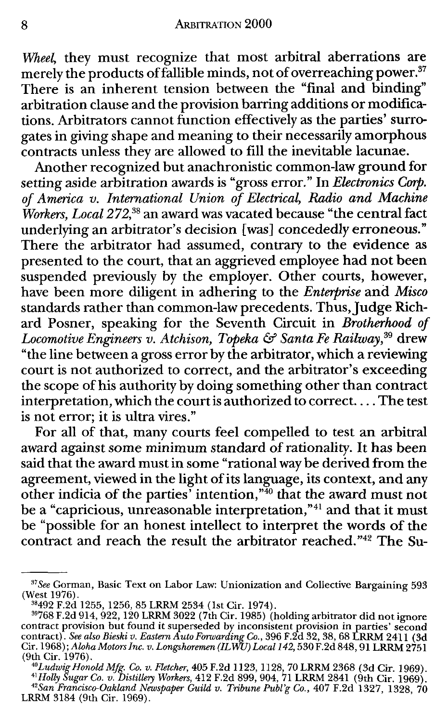*Wheel,* they must recognize that most arbitral aberrations are merely the products of fallible minds, not of overreaching power.<sup>37</sup> There is an inherent tension between the "final and binding" arbitration clause and the provision barring additions or modifications. Arbitrators cannot function effectively as the parties' surrogates in giving shape and meaning to their necessarily amorphous contracts unless they are allowed to fill the inevitable lacunae.

Another recognized but anachronistic common-law ground for setting aside arbitration awards is "gross error." In *Electronics Corp. of America v. International Union of Electrical, Radio and Machine Workers, Local 272,38* an award was vacated because "the central fact underlying an arbitrator's decision [was] concededly erroneous." There the arbitrator had assumed, contrary to the evidence as presented to the court, that an aggrieved employee had not been suspended previously by the employer. Other courts, however, have been more diligent in adhering to the *Enterprise* and *Misco*  standards rather than common-law precedents. Thus, Judge Richard Posner, speaking for the Seventh Circuit in *Brotherhood of*  Locomotive Engineers v. Atchison, Topeka & Santa Fe Railway,<sup>39</sup> drew "the line between a gross error by the arbitrator, which a reviewing court is not authorized to correct, and the arbitrator's exceeding the scope of his authority by doing something other than contract interpretation, which the court is authorized to correct.... The test is not error; it is ultra vires."

For all of that, many courts feel compelled to test an arbitral award against some minimum standard of rationality. It has been said that the award must in some "rational way be derived from the agreement, viewed in the light of its language, its context, and any other indicia of the parties' intention," $40$  that the award must not be a "capricious, unreasonable interpretation,"<sup>41</sup> and that it must be "possible for an honest intellect to interpret the words of the contract and reach the result the arbitrator reached."42 The Su-

<sup>&#</sup>x27; 7 *See* Gorman, Basic Text on Labor Law: Unionization and Collective Bargaining 593 (West 1976).<br><sup>38</sup>492 F.2d 1255, 1256, 85 LRRM 2534 (1st Cir. 1974).

 $^{39}768$  F.2d 914, 922, 120 LRRM 3022 (7th Cir. 1985) (holding arbitrator did not ignore contract provision but found it superseded by inconsistent provision in parties' second<br>contract). *See also Bieski v. Eastern Auto Forwarding Co.*, 396 F.2d 32, 38, 68 LRRM 2411 (3d<br>Cir. 1968); *Aloha Motors Inc. v. Longs* (9th Cir. 1976).

<sup>41</sup> Cut. 1976),<br>
and Mg. Co. v. Fletcher, 405 F.2d 1123, 1128, 70 LRRM 2368 (3d Cir. 1969).<br>
<sup>41</sup> Holly Sugar Co. v. Distillery Workers, 412 F.2d 899, 904, 71 LRRM 2841 (9th Cir. 1969).<br>
<sup>42</sup> San Francisco-Oakland Newspaper LRRM 3184 (9th Cir. 1969).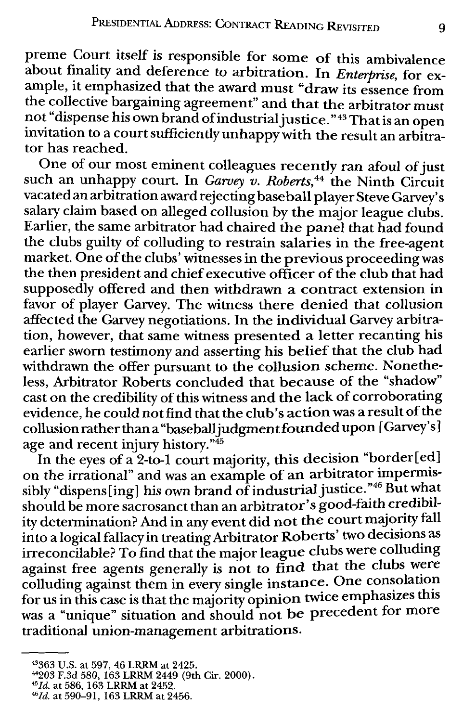preme Court itself is responsible for some of this ambivalence about finality and deference to arbitration. In *Enterprise*, for example, it emphasized that the award must "draw its essence from the collective bargaining agreement" and that the arbitrator must not "dispense his own brand of industrial justice." <sup>43</sup> That is an open invitation to a court sufficiently unhappy with the result an arbitrator has reached.

One of our most eminent colleagues recently ran afoul of just such an unhappy court. In *Garvey v. Roberts,44* the Ninth Circuit vacated an arbitration award rejecting baseball player Steve Garvey's salary claim based on alleged collusion by the major league clubs. Earlier, the same arbitrator had chaired the panel that had found the clubs guilty of colluding to restrain salaries in the free-agent market. One of the clubs' witnesses in the previous proceeding was the then president and chief executive officer of the club that had supposedly offered and then withdrawn a contract extension in favor of player Garvey. The witness there denied that collusion affected the Garvey negotiations. In the individual Garvey arbitration, however, that same witness presented a letter recanting his earlier sworn testimony and asserting his belief that the club had withdrawn the offer pursuant to the collusion scheme. Nonetheless, Arbitrator Roberts concluded that because of the "shadow" cast on the credibility of this witness and the lack of corroborating evidence, he could not find that the club's action was a result of the collusion rather than a "baseball judgment founded upon [Garvey's] age and recent injury history."<sup>45</sup>

In the eyes of a 2-to-1 court majority, this decision "border[ed] on the irrational" and was an example of an arbitrator impermissibly "dispens[ing] his own brand of industrial justice."46 But what should be more sacrosanct than an arbitrator's good-faith credibility determination? And in any event did not the court majority fall into a logical fallacy in treating Arbitrator Roberts' two decisions as irreconcilable? To find that the major league clubs were colludmg against free agents generally is not to find that the clubs were colluding against them in every single instance. One consolation for us in this case is that the majority opinion twice emphasizes this was a "unique" situation and should not be precedent for more traditional union-management arbitrations.

<sup>&</sup>lt;sup>43</sup>363 U.S. at 597, 46 LRRM at 2425.<br><sup>44</sup>203 F.3d 580, 163 LRRM 2449 (9th Cir. 2000).<br><sup>45</sup>*Id.* at 586, 163 LRRM at 2452.<br><sup>46</sup>*Id.* at 590-91, 163 LRRM at 2456.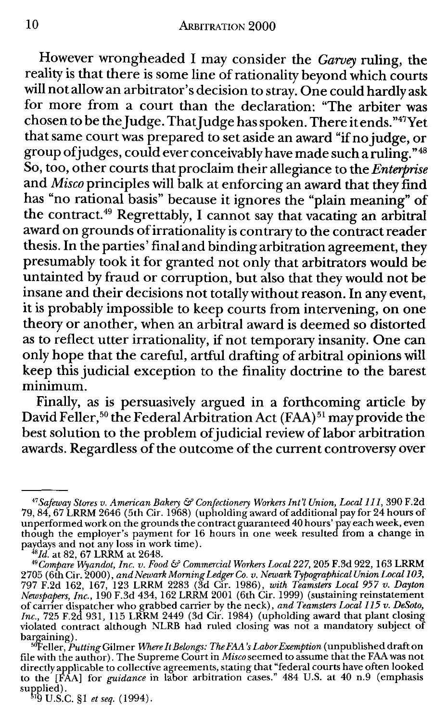However wrongheaded I may consider the *Garvey* ruling, the reality is that there is some line of rationality beyond which courts will not allow an arbitrator's decision to stray. One could hardly ask for more from a court than the declaration: "The arbiter was chosen to be the Judge. That Judge has spoken. There it ends. "47Yet that same court was prepared to set aside an award "if no judge, or group of judges, could ever conceivably have made such a ruling. "48 So, too, other courts that proclaim their allegiance to the *Enterprise*  and *Misco* principles will balk at enforcing an award that they find has "no rational basis" because it ignores the "plain meaning" of the contract.<sup>49</sup> Regrettably, I cannot say that vacating an arbitral award on grounds of irrationality is contrary to the contract reader thesis. In the parties' final and binding arbitration agreement, they presumably took it for granted not only that arbitrators would be untainted by fraud or corruption, but also that they would not be insane and their decisions not totally without reason. In any event, it is probably impossible to keep courts from intervening, on one theory or another, when an arbitral award is deemed so distorted as to reflect utter irrationality, if not temporary insanity. One can only hope that the careful, artful drafting of arbitral opinions will keep this judicial exception to the finality doctrine to the barest minimum.

Finally, as is persuasively argued in a forthcoming article by David Feller,<sup>50</sup> the Federal Arbitration Act (FAA)<sup>51</sup> may provide the best solution to the problem of judicial review of labor arbitration awards. Regardless of the outcome of the current controversy over

supplied).<br><sup>51</sup>9 U.S.C. §1 *et seq.* (1994).

<sup>47</sup>*Safeway Stores v. American Bakery* & *Confectionery Workers Int'l Union, Local* 111, 390 F.2d 79, 84, 67 LRRM 2646 (5th Cir. 1968) (upholding award of additional pay for 24 hours of unperformed work on the grounds the contract guaranteed 40 hours' pay each week, even though the employer's payment for 16 hours in one week resulted from a change in paydays and not any loss in work time).<br><sup>48</sup>Id. at 82, 67 LRRM at 2648.

<sup>&</sup>lt;sup>49</sup> Compare Wyandot, Inc. v. Food & Commercial Workers Local 227, 205 F.3d 922, 163 LRRM 2705 ( 6th Cir. 2000), *and Newark Morning Ledger Co. v. Newark Typographical Union Local* 103, 797 F.2d 162, 167, 123 LRRM 2283 (3d Cir. 1986), *with Teamsters Local 957 v. Dayton Newspapers, Inc.,* 190 F.3d 434, 162 LRRM 2001 (6th Cir. 1999) (sustaining reinstatement of carrier dispatcher who grabbed carrier by the neck), *and Teamsters Local* 115 *v. DeSoto, Inc.,* 725 F.2d 931, 115 LRRM 2449 (3d Cir. 1984) (upholding award that plant closing violated contract although NLRB had ruled closing was not a mandatory subject of bargaining). . . '"Feller, *Putting* Gilmer *¾'here It Belongs: The FAA 's Labor Exemption* (unpublished draft on

file with the author). The Supreme Court in *Miscoseemed* to assume that the FM was not directly applicable to collective agreements, stating that "federal courts have often looked to the [FAA] for *guidance* in labor arbitration cases." 484 U.S. at 40 n.9 (emphasis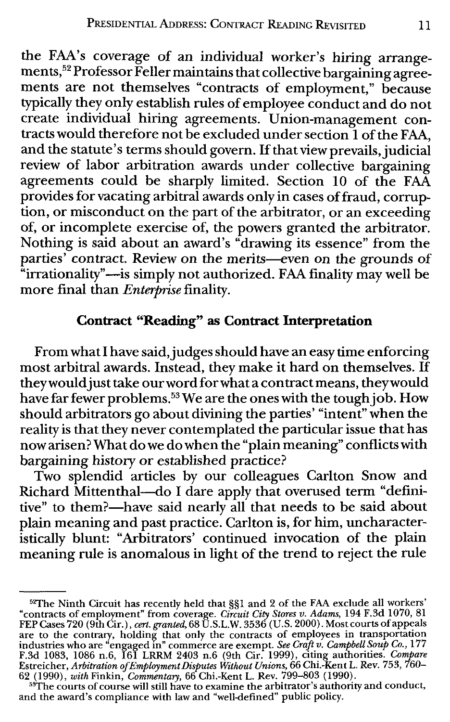the FAA's coverage of an individual worker's hiring arrangements,<sup>52</sup> Professor Feller maintains that collective bargaining agreements are not themselves "contracts of employment," because typically they only establish rules of employee conduct and do not create individual hiring agreements. Union-management contracts would therefore not be excluded under section 1 of the FAA, and the statute's terms should govern. If that view prevails, judicial review of labor arbitration awards under collective bargaining agreements could be sharply limited. Section 10 of the FAA provides for vacating arbitral awards only in cases of fraud, corruption, or misconduct on the part of the arbitrator, or an exceeding of, or incomplete exercise of, the powers granted the arbitrator. Nothing is said about an award's "drawing its essence" from the parties' contract. Review on the merits-even on the grounds of "irrationality"—is simply not authorized. FAA finality may well be more final than *Enterprise* finality.

### **Contract "Reading" as Contract Interpretation**

From what I have said, judges should have an easy time enforcing most arbitral awards. Instead, they make it hard on themselves. If they would just take our word for what a contract means, theywould have far fewer problems.<sup>53</sup> We are the ones with the tough job. How should arbitrators go about divining the parties' "intent" when the reality is that they never contemplated the particular issue that has now arisen? What do we do when the "plain meaning" conflicts with bargaining history or established practice?

Two splendid articles by our colleagues Carlton Snow and Richard Mittenthal-do I dare apply that overused term "definitive" to them?—have said nearly all that needs to be said about plain meaning and past practice. Carlton is, for him, uncharacteristically blunt: "Arbitrators' continued invocation of the plain meaning rule is anomalous in light of the trend to reject the rule

<sup>&</sup>lt;sup>52</sup>The Ninth Circuit has recently held that §§1 and 2 of the FAA exclude all workers'<br>"contracts of employment" from coverage. *Circuit City Stores v. Adams*, 194 F.3d 1070, 81<br>FEP Cases 720 (9th Cir.), *cert. granted*, 6 are to the contrary, holding that only the contracts of employees in transportation<br>industries who are "engaged in" commerce are exempt. See Craft v. Campbell Soup Co., 177<br>F.3d 1083, 1086 n.6, 161 LRRM 2403 n.6 (9th Cir.

<sup>53</sup>The courts of course will still have to examine the arbitrator's authority and conduct, and the award's compliance with law and "well-defined" public policy.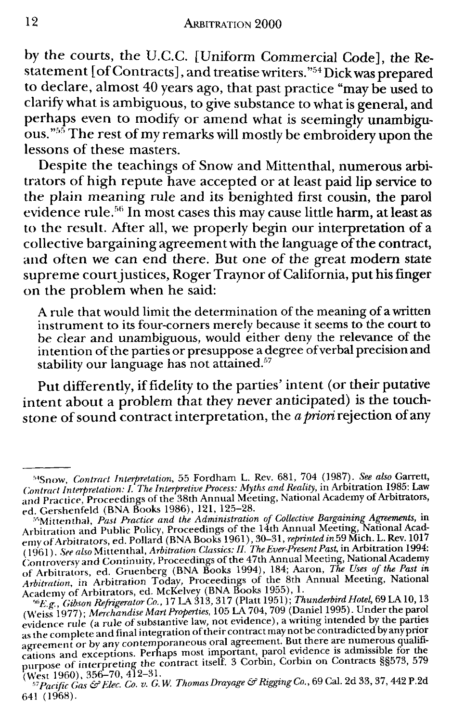by the courts, the U.C.C. [Uniform Commercial Code], the Restatement [of Contracts], and treatise writers."<sup>54</sup> Dick was prepared to declare, almost 40 years ago, that past practice "may be used to clarify what is ambiguous, to give substance to what is general, and perhaps even to modify or amend what is seemingly unambiguous. · · The rest of my remarks will mostly be embroidery upon the lessons of these masters.

Despite the teachings of Snow and Mittenthal, numerous arbitrators of high repute have accepted or at least paid lip service to the plain meaning rule and its benighted first cousin, the parol evidence rule.<sup>56</sup> In most cases this may cause little harm, at least as to the result. After all, we properly begin our interpretation of a collective bargaining agreement with the language of the contract, and often we can end there. But one of the great modem state supreme court justices, Roger Traynor of California, put his finger on the problem when he said:

A rule that would limit the determination of the meaning of a written instrument to its four-corners merely because it seems to the court to be clear and unambiguous, would either deny the relevance of the intention of the parties or presuppose a degree of verbal precision and stability our language has not attained.<sup>57</sup>

Put differently, if fidelity to the parties' intent (or their putative intent about a problem that they never anticipated) is the touchstone of sound contract interpretation, the *a priori* rejection of any

<sup>&#</sup>x27;•'Snow, *Contract Interpretation,* 55 Fordham L. Rev. 681, 704 (1987). *See also* Garrett, Contract Interpretation: I. The Interpretive Process: Myths and Reality, in Arbitration 1985: Law<br>and Practice, Proceedings of the 38th Annual Meeting, National Academy of Arbitrators,

ed. Gershenfeld (BNA Books 1986), 121, 125-28. 1•'•Mittenthal, *Past Practice and the Administration of Collective Bargaining Agreements,* in Arbitration and Public Policy, Proceedings of the 14th Annual Meeting, National Acadr word arbitrators, ed. Pollard (BNA Books 1961), 30–31, *reprinted in* 59 Mich. L. Rev. 1017<br>(1961). *See also* Mittenthal, *Arbitration Classics: II. The Ever-Present Past*, in Arbitration 1994:<br>Controversy and Continuit of Arbitrators, ed. Gruenberg (BNA Books 1994), 184; Aaron, *The Uses of the Past zn Arbitration*, in Arbitration Today, Proceedings of the 8th Annual Meeting, National<br>Academy of Arbitrators, ed. McKelvey (BNA Books 1955), 1.<br><sup>56</sup>E. g., Gibson Refrigerator Co., 17 LA 313, 317 (Platt 1951); Thunderbird Ho

*weig, Gueson Refrigeration Co., A Farty System Co.*<br>(Weiss 1977); *Merchandise Mart Properties,* 105 LA 704, 709 (Daniel 1995). Under the parol evidence rule (a rule of substantive law, not evidence), a writing intended b evaluate that we can final integration of their contract may not be contradicted by any prior<br>agreement or by any contemporaneous oral agreement. But there are numerous qualifiegic time and exceptions. Perhaps most important, parol evidence is admissible for the cations and exceptions. Perhaps most important, parol evidence is admissible for the purpose of interpreting the contract itself. 3 Co

<sup>641 (1968).</sup>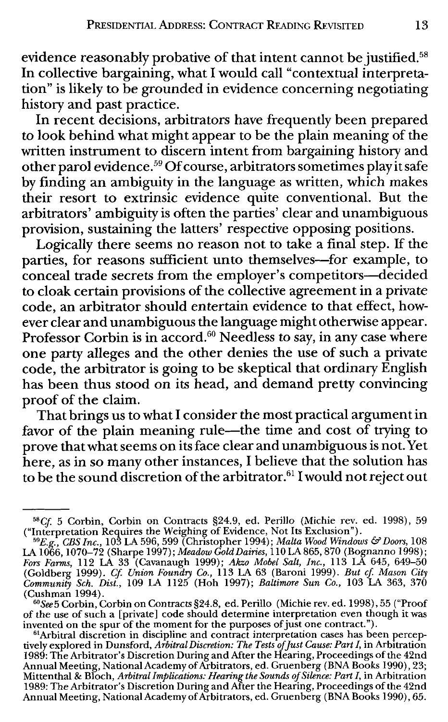evidence reasonably probative of that intent cannot be justified.<sup>58</sup> In collective bargaining, what I would call "contextual interpretation" is likely to be grounded in evidence concerning negotiating history and past practice.

In recent decisions, arbitrators have frequently been prepared to look behind what might appear to be the plain meaning of the written instrument to discern intent from bargaining history and other parol evidence. *59* Of course, arbitrators sometimes play it safe by finding an ambiguity in the language as written, which makes their resort to extrinsic evidence quite conventional. But the arbitrators' ambiguity is often the parties' clear and unambiguous provision, sustaining the latters' respective opposing positions.

Logically there seems no reason not to take a final step. If the parties, for reasons sufficient unto themselves-for example, to conceal trade secrets from the employer's competitors-decided to cloak certain provisions of the collective agreement in a private code, an arbitrator should entertain evidence to that effect, however clear and unambiguous the language might otherwise appear. Professor Corbin is in accord.<sup>60</sup> Needless to say, in any case where one party alleges and the other denies the use of such a private code, the arbitrator is going to be skeptical that ordinary English has been thus stood on its head, and demand pretty convincing proof of the claim.

That brings us to what I consider the most practical argument in favor of the plain meaning rule—the time and cost of trying to prove that what seems on its face clear and unambiguous is not. Yet here, as in so many other instances, I believe that the solution has to be the sound discretion of the arbitrator. $61$  I would not reject out

<sup>58</sup>Cf 5 Corbin, Corbin on Contracts §24.9, ed. Perillo (Michie rev. ed. 1998), 59

<sup>(&</sup>quot;Interpretation Requires the Weighing of Evidence, Not Its Exclusion").<br><sup>59</sup>E.g., *CBS Inc.*, 103 LA 596, 599 (Christopher 1994); *Malta Wood Windows & Doors,* 108<br>LA 1066, 1070–72 (Sharpe 1997); *Meadow Gold Dairies,* 11 Fors Farms, 112 LA 33 (Cavanaugh 1999); Akzo Mobel Salt, Inc., 113 LA 645, 649–50<br>(Goldberg 1999). Cf. Union Foundry Co., 113 LA 63 (Baroni 1999). But cf. Mason City<br>Community Sch. Dist., 109 LA 1125 (Hoh 1997); Baltimore (Cushman 1994).

<sup>60</sup>*See* 5 Corbin, Corbin on Contracts §24.8, ed. Perillo (Michie rev. ed. 1998), 55 ("Proof of the use of such a [private] code should determine interpretation even though it was invented on the spur of the moment for the purposes of just one contract.").

<sup>&</sup>lt;sup>61</sup>Arbitral discretion in discipline and contract interpretation cases has been perceptively explored in Dunsford, Arbitral Discretion: The Tests`of Just Cause: Part I, in Arbitration<br>1989: The Arbitrator's Discretion During and After the Hearing, Proceedings of the 42nd<br>Annual Meeting, National Academy of Mittenthal & Bloch, *Arbitral Implications: Hearing the Sounds of Silence: Part I,* in Arbitration 1989: The Arbitrator's Discretion During and After the Hearing, Proceedings of the 42nd Annual Meeting, National Academy of Arbitrators, ed. Gruenberg (BNA Books 1990), 65.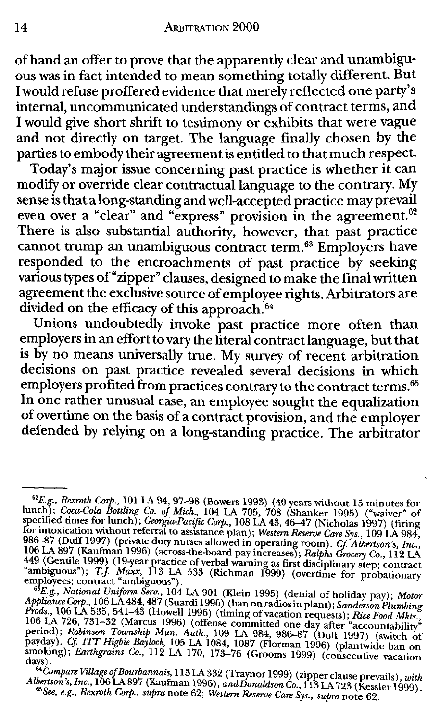of hand an offer to prove that the apparently clear and unambiguous was in fact intended to mean something totally different. But I would refuse proffered evidence that merely reflected one party's internal, uncommunicated understandings of contract terms, and I would give short shrift to testimony or exhibits that were vague and not directly on target. The language finally chosen by the parties to embody their agreement is entitled to that much respect.

Today's major issue concerning past practice is whether it can modify or override clear contractual language to the contrary. M\_y sense is that a long-standing and well-accepted practice may prevail even over a "clear" and "express" provision in the agreement.<sup>62</sup> There is also substantial authority, however, that past practice cannot trump an unambiguous contract term. 63 Employers have responded to the encroachments of past practice by seeking various types of"zipper" clauses, designed to make the final written agreement the exclusive source of employee rights. Arbitrators are divided on the efficacy of this approach.<sup>64</sup>

Unions undoubtedly invoke past practice more often than employers in an effort to vary the literal contract language, but that is by no means universally true. My survey of recent arbitration decisions on past practice revealed several decisions in which employers profited from practices contrary to the contract terms.<sup>65</sup> In one rather unusual case, an employee sought the equalization of overtime on the basis of a contract provision, and the employer defended by relying on a long-standing practice. The arbitrator

<sup>&</sup>lt;sup>62</sup>*E.g., Rexroth Corp.*, 101 LA 94, 97-98 (Bowers 1993) (40 years without 15 minutes for lunch); *Coca-Cola Bottling Co. of Mich.*, 104 LA 705, 708 (Shanker 1995) ("waiver" of specified times for lunch); *Georgia-Pacifi* 

<sup>449 (</sup>Gentile 1999) (19-year practice of verbal warning as first disciplinary step; contract "ambiguous"); *T.J. Maxx*, 113 LA 533 (Richman 1999) (overtime for probationary employees; contract "ambiguous").  $I$ . *Maxx*, 11

<sup>&</sup>lt;sup>64</sup>Compare Village of Bourbannais, 113 LA 332 (Traynor 1999) (zipper clause prevails), with<br>Albertson's, Inc., 106 LA 897 (Kaufman 1996), and Donaldson Co., 113 LA 723 (Kessler 1999).<br><sup>65</sup>See, e.g., Rexroth Corp., supra n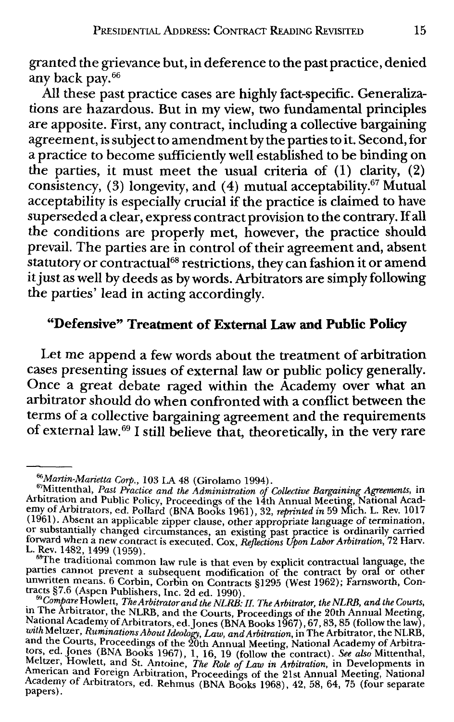granted the grievance but, in deference to the past practice, denied any back pay.<sup>66</sup>

All these past practice cases are highly fact-specific. Generalizations are hazardous. But in my view, two fundamental principles are apposite. First, any contract, including a collective bargaining agreement, is subject to amendment by the parties to it. Second, for a practice to become sufficiently well established to be binding on the parties, it must meet the usual criteria of  $(1)$  clarity,  $(2)$ consistency, (3) longevity, and (4) mutual acceptability.<sup>67</sup> Mutual acceptability is especially crucial if the practice is claimed to have superseded a clear, express contract provision to the contrary. If all the conditions are properly met, however, the practice should prevail. The parties are in control of their agreement and, absent statutory or contractual<sup>68</sup> restrictions, they can fashion it or amend it just as well by deeds as by words. Arbitrators are simply following the parties' lead in acting accordingly.

## **"Defensive" Treatment of External Law and Public Policy**

Let me append a few words about the treatment of arbitration cases presenting issues of external law or public policy generally. Once a great debate raged within the Academy over what an arbitrator should do when confronted with a conflict between the terms of a collective bargaining agreement and the requirements of external law. 69 I still believe that, theoretically, in the very rare

parties cannot prevent a subsequent modification of the contract by oral or other unwritten means. 6 Corbin, Corbin on Contracts §1295 (West 1962); Farnsworth, Contra~ts §7.6 (Aspen Publishers, Inc. 2d ed. 1990).

<sup>&</sup>lt;sup>66</sup>Martin-Marietta Corp., 103 LA 48 (Girolamo 1994).<br><sup>67</sup>Mittenthal, *Past Practice and the Administration of Collective Bargaining Agreements*, in<br>Arbitration and Public Policy, Proceedings of the 14th Annual Meeting, Na emy of Arbitrators, ed. Pollard (BNA Books 1961), 32, *reprinted in* 59 Mich. L. Rev. 1017 (1961). Absent an applicable zipper clause, other appropriate language of termination, (1961). Absent an applicable zipper clause, other appropriate language of termination,<br>or substantially changed circumstances, an existing past practice is ordinarily carried<br>forward when a new contract is executed. Cox, R L. Rev. 1482, 1499 (1959). **Exercise is that even by explicit contractual language**, the sample is that even by explicit contractual language, the

<sup>&</sup>lt;sup>25</sup> Compare Howlett, *The Arbitrator and the NLRB*: *II. The Arbitrator, the NLRB, and the Courts,* in The Arbitrator, the NLRB, and the Courts, Proceedings of the 20th Annual Meeting,<br>National Academy of Arbitrators, ed. Jones (BNA Books 1967), 67, 83, 85 (follow the law), with Meltzer, Ruminations About Ideology, Law, and Arbitration, in The Arbitrator, the NLRB,<br>and the Courts, Proceedings of the 20th Annual Meeting, National Academy of Arbitra-<br>tors, ed. Jones (BNA Books 1967), 1, 16, 19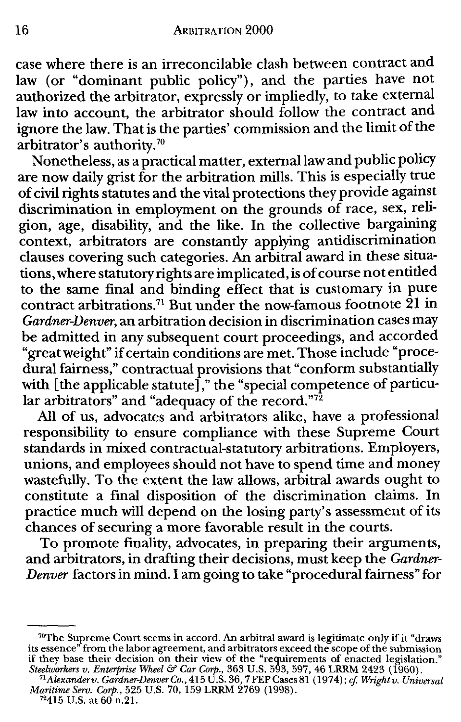case where there is an irreconcilable clash between contract and law (or "dominant public policy"), and the parties have not authorized the arbitrator, expressly or impliedly, to take external law into account, the arbitrator should follow the contract and ignore the law. That is the parties' commission and the limit of the arbitrator's authority.70

Nonetheless, as a practical matter, external law and public policy are now daily grist for the arbitration mills. This is especially true of civil rights statutes and the vital protections they provide against discrimination in employment on the grounds of race, sex, religion, age, disability, and the like. In the collective bargaining context, arbitrators are constantly applying antidiscrimination clauses covering such categories. An arbitral award in these situations, where statutory rights are implicated, is of course not entitled to the same final and binding effect that is customary in pure contract arbitrations.<sup>71</sup> But under the now-famous footnote  $\overline{2}1$  in *Gardner-Denver,* an arbitration decision in discrimination cases may be admitted in any subsequent court proceedings, and accorded "great weight" if certain conditions are met. Those include "procedural fairness," contractual provisions that "conform substantially with [the applicable statute]," the "special competence of particular arbitrators" and "adequacy of the record." $^{\rm 7\bar{2}}$ 

All of us, advocates and arbitrators alike, have a professional responsibility to ensure compliance with these Supreme Court standards **in** mixed contractual-statutory arbitrations. Employers, unions, and employees should not have to spend time and money wastefully. To the extent the law allows, arbitral awards ought to constitute a final disposition of the discrimination claims. In practice much will depend on the losing party's assessment of its chances of securing a more favorable result in the courts.

To promote finality, advocates, in preparing their arguments, and arbitrators, in drafting their decisions, must keep the *Gardner-Denver* factors in mind. I am going to take "procedural fairness" for

<sup>&</sup>lt;sup>70</sup>The Supreme Court seems in accord. An arbitral award is legitimate only if it "draws" its essence" from the labor agreement, and arbitrators exceed the scope of the submission if they base their decision on their view of the "requirements of enacted legislation."

*Steelworkers v. Enterprise Wheel* & *Car Corp.,* 363 U.S. 593,597, 46 LRRM 2423 (1960). 71 *Alexanderv. Gardner-Denver Co.,* 415 U.S. 36, 7 FEP Cases 81 (197 4); *cf. Wright v. Universal Maritime Serv. Corp.,* 525 U.S. 70, 159 LRRM 2769 (1998). 72415 U.S. at 60 n.21.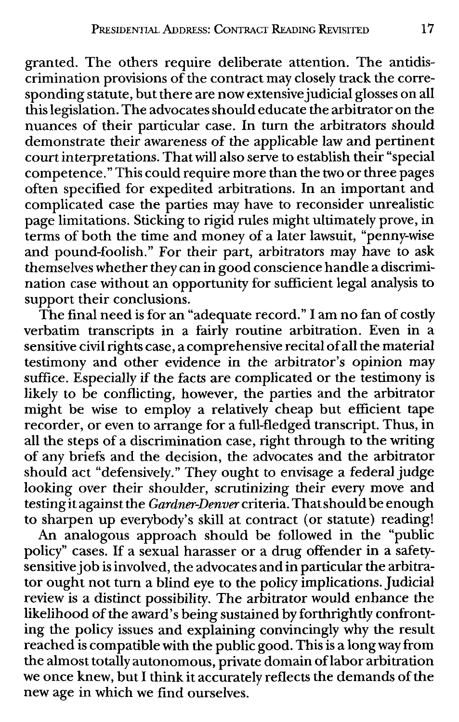granted. The others require deliberate attention. The antidiscrimination provisions of the contract may closely track the corresponding statute, but there are now extensive judicial glosses on all this legislation. The advocates should educate the arbitrator on the nuances of their particular case. In turn the arbitrators should demonstrate their awareness of the applicable law and pertinent court interpretations. That will also serve to establish their "special competence." This could require more than the two or three pages often specified for expedited arbitrations. In an important and complicated case the parties may have to reconsider unrealistic page limitations. Sticking to rigid rules might ultimately prove, in terms of both the time and money of a later lawsuit, "penny-wise and pound-foolish." For their part, arbitrators may have to ask themselves whether they can in good conscience handle a discrimination case without an opportunity for sufficient legal analysis to support their conclusions.

The final need is for an "adequate record." I am no fan of costly verbatim transcripts in a fairly routine arbitration. Even in a sensitive civil rights case, a comprehensive recital of all the material testimony and other evidence in the arbitrator's opinion may suffice. Especially if the facts are complicated or the testimony is likely to be conflicting, however, the parties and the arbitrator might be wise to employ a relatively cheap but efficient tape recorder, or even to arrange for a full-fledged transcript. Thus, in all the steps of a discrimination case, right through to the writing of any briefs and the decision, the advocates and the arbitrator should act "defensively." They ought to envisage a federal judge looking over their shoulder, scrutinizing their every move and testing it against the *Gardner-Denver* criteria. That should be enough to sharpen up everybody's skill at contract (or statute) reading!

An analogous approach should be followed in the "public policy" cases. If a sexual harasser or a drug offender in a safetysensitive job is involved, the advocates and in particular the arbitrator ought not turn a blind eye to the policy implications. Judicial review is a distinct possibility. The arbitrator would enhance the likelihood of the award' s being sustained by forthrightly confronting the policy issues and explaining convincingly why the result reached is compatible with the public good. This is a long way from the almost totally autonomous, private domain oflabor arbitration we once knew, but I think it accurately reflects the demands of the new age in which we find ourselves.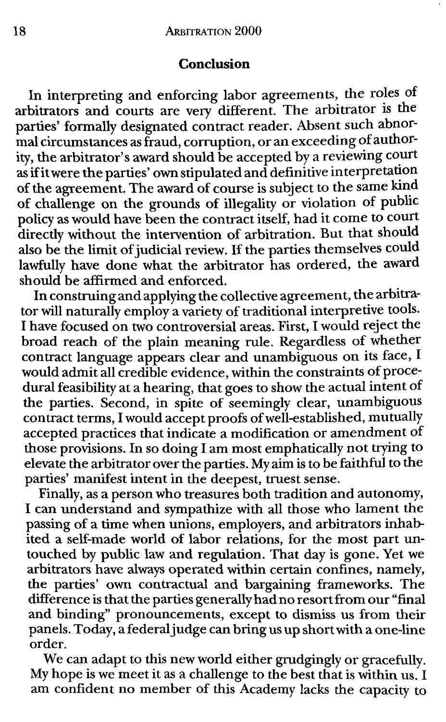### **Conclusion**

In interpreting and enforcing labor agreements, the roles of arbitrators and courts are very different. The arbitrator is the parties' formally designated contract reader. Absent such abnormal circumstances as fraud, corruption, or an exceeding of authority, the arbitrator's award should be accepted by a reviewing court as if it were the parties' own stipulated and definitive interpretation of the agreement. The award of course is subject to the same kind of challenge on the grounds of illegality or violation of public policy as would have been the contract itself, had it come to court directly without the intervention of arbitration. But that should also be the limit of judicial review. If the parties themselves could lawfully have done what the arbitrator has ordered, the award should be affirmed and enforced.

In construing and applying the collective agreement, the arbitrator will naturally employ a variety of traditional interpretive tools. I have focused on two controversial areas. First, I would reject the broad reach of the plain meaning rule. Regardless of whether contract language appears clear and unambiguous on its face, I would admit all credible evidence, within the constraints of procedural feasibility at a hearing, that goes to show the actual intent of the parties. Second, in spite of seemingly clear, unambiguous contract terms, I would accept proofs of well-established, mutually accepted practices that indicate a modification or amendment of those provisions. In so doing I am most emphatically not trying to elevate the arbitrator over the parties. My aim is to be faithful to the parties' manifest intent in the deepest, truest sense.

Finally, as a person who treasures both tradition and autonomy, I can understand and sympathize with all those who lament the passing of a time when unions, employers, and arbitrators inhabited a self-made world of labor relations, for the most part untouched by public law and regulation. That day is gone. Yet we arbitrators have always operated within certain confines, namely, the parties' own contractual and bargaining frameworks. The difference is that the parties generally had no resort from our "final and binding" pronouncements, except to dismiss us from their panels. Today, a federal judge can bring us up short with a one-line order.

We can adapt to this new world either grudgingly or gracefully. My hope is we meet it as a challenge to the best that is within us. I am confident no member of this Academy lacks the capacity to